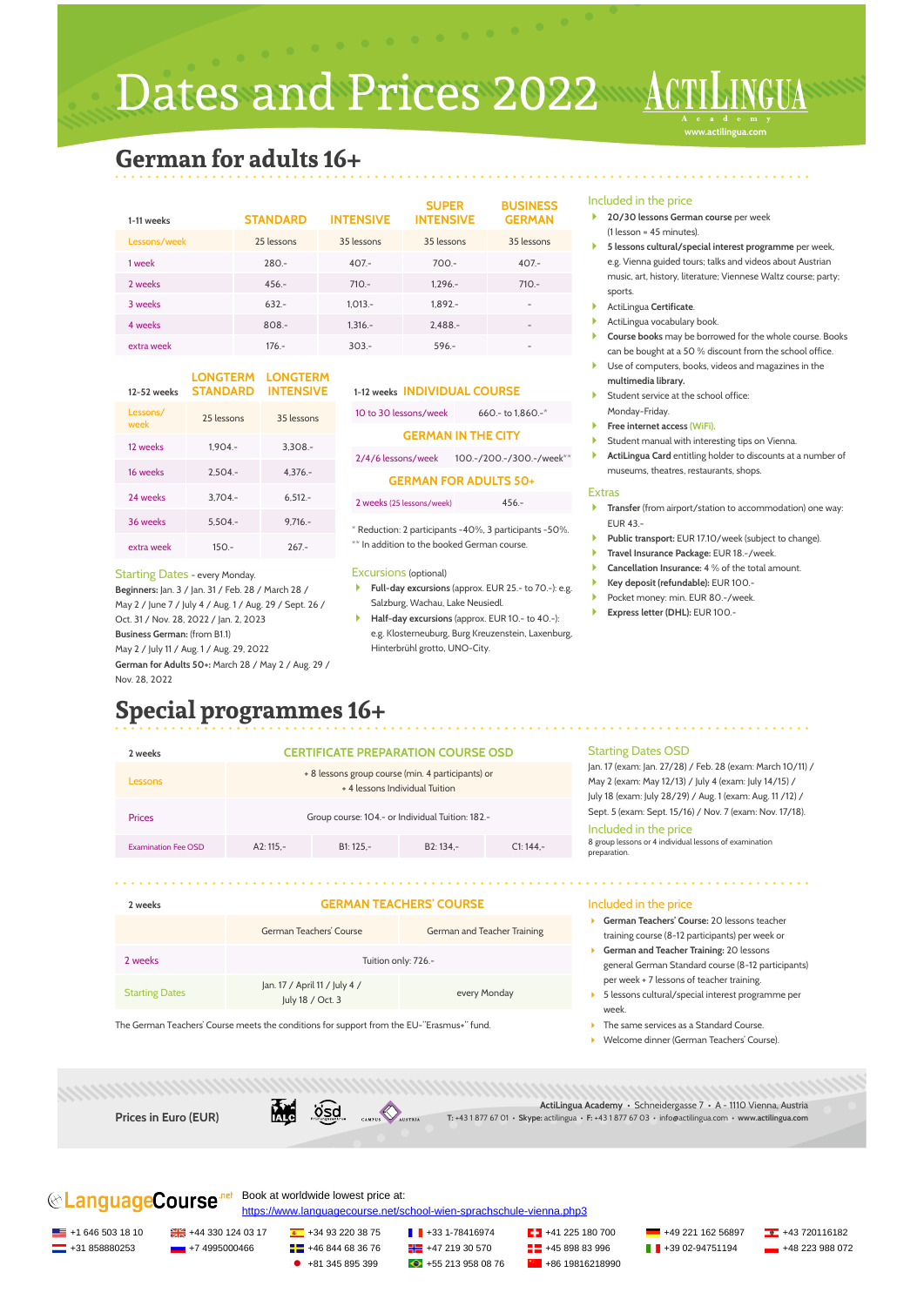Dates and Prices 2022

**www.actilingua.com**

## **German for adults 16+**

| 1-11 weeks   | <b>STANDARD</b> | <b>INTENSIVE</b> | <b>SUPER</b><br><b>INTENSIVE</b> | <b>BUSINESS</b><br><b>GERMAN</b> |
|--------------|-----------------|------------------|----------------------------------|----------------------------------|
| Lessons/week | 25 lessons      | 35 lessons       | 35 lessons                       | 35 lessons                       |
| 1 week       | $280 -$         | $407 -$          | $700 -$                          | $407 -$                          |
| 2 weeks      | $456 -$         | $710 -$          | $1.296 -$                        | $710 -$                          |
| 3 weeks      | $632 -$         | $1.013 -$        | $1.892 -$                        | $\overline{\phantom{0}}$         |
| 4 weeks      | $808 -$         | $1.316 -$        | $2.488 -$                        | $\overline{\phantom{a}}$         |
| extra week   | $176 -$         | $303 -$          | $596 -$                          | -                                |

#### **12-52 weeks LONGTERM LONGTERM STANDARD INTENSIVE**

| Lessons/<br>week | 25 lessons | 35 lessons |
|------------------|------------|------------|
| 12 weeks         | $1.904 -$  | $3,308-$   |
| 16 weeks         | $2.504 -$  | $4,376. -$ |
| 24 weeks         | $3.704 -$  | $6,512. -$ |
| 36 weeks         | $5.504 -$  | $9.716 -$  |
| extra week       | $150 -$    | $267 -$    |

#### Starting Dates - every Monday.

**Beginners:** Jan. 3 / Jan. 31 / Feb. 28 / March 28 / May 2 / June 7 / July 4 / Aug. 1 / Aug. 29 / Sept. 26 / Oct. 31 / Nov. 28, 2022 / Jan. 2, 2023 **Business German:** (from B1.1) May 2 / July 11 / Aug. 1 / Aug. 29, 2022 **German for Adults 50+:** March 28 / May 2 / Aug. 29 / Nov. 28, 2022

### 1-12 weeks **INDIVIDUAL COURSE**

10 to 30 lessons/week 660.- to 1,860.-\*

**GERMAN IN THE CITY**

2/4/6 lessons/week 100.-/200.-/300.-/week\*\*

#### **GERMAN FOR ADULTS 50+**

2 weeks (25 lessons/week) 456.-

\* Reduction: 2 participants -40%, 3 participants -50%. \*\* In addition to the booked German course.

#### Excursions (optional)

- **Full-day excursions** (approx. EUR 25.- to 70.-): e.g. Salzburg, Wachau, Lake Neusiedl.
- **Half-day excursions** (approx. EUR 10.- to 40.-): e.g. Klosterneuburg, Burg Kreuzenstein, Laxenburg, Hinterbrühl grotto, UNO-City.

#### Included in the price

- **20/30 lessons German course** per week (1 lesson = 45 minutes).
- **5 lessons cultural/special interest programme** per week, e.g. Vienna guided tours; talks and videos about Austrian music, art, history, literature; Viennese Waltz course; party; sports.
- ActiLingua **Certificate**.
- ActiLingua vocabulary book.
- **Course books** may be borrowed for the whole course. Books can be bought at a 50 % discount from the school office.
- Use of computers, books, videos and magazines in the **multimedia library.**
- Student service at the school office:
- Monday-Friday.
- **Free internet access (WiFi).**
- Student manual with interesting tips on Vienna. **ActiLingua Card** entitling holder to discounts at a number of museums, theatres, restaurants, shops.

#### Extras

- **Transfer** (from airport/station to accommodation) one way: EUR 43.-
- **Public transport:** EUR 17.10/week (subject to change).
- **Travel Insurance Package:** EUR 18.-/week.
- **Cancellation Insurance:** 4 % of the total amount.
- **Key deposit (refundable):** EUR 100.-
- Pocket money: min. EUR 80.-/week.
- **Express letter (DHL):** EUR 100.-

# **Special programmes 16+**

| 2 weeks                    |                                                                                     | <b>CERTIFICATE PREPARATION COURSE OSD</b>           | <b>Starting Dates OSD</b> |                                                                                                                                                                                                                                                                       |                                                                        |
|----------------------------|-------------------------------------------------------------------------------------|-----------------------------------------------------|---------------------------|-----------------------------------------------------------------------------------------------------------------------------------------------------------------------------------------------------------------------------------------------------------------------|------------------------------------------------------------------------|
| <b>Lessons</b>             | + 8 lessons group course (min. 4 participants) or<br>+ 4 lessons Individual Tuition |                                                     |                           | Jan. 17 (exam: Jan. 27/28) / Feb. 28 (exam: March 10/11) /<br>May 2 (exam: May 12/13) / July 4 (exam: July 14/15) /<br>July 18 (exam: July 28/29) / Aug. 1 (exam: Aug. 11 /12) /<br>Sept. 5 (exam: Sept. 15/16) / Nov. 7 (exam: Nov. 17/18).<br>Included in the price |                                                                        |
| <b>Prices</b>              | Group course: 104.- or Individual Tuition: 182.-                                    |                                                     |                           |                                                                                                                                                                                                                                                                       |                                                                        |
| <b>Examination Fee OSD</b> | $A2:115. -$                                                                         | B <sub>2</sub> : 134.-<br>$C1: 144. -$<br>B1: 125.- |                           |                                                                                                                                                                                                                                                                       | 8 group lessons or 4 individual lessons of examination<br>preparation. |
|                            |                                                                                     |                                                     |                           |                                                                                                                                                                                                                                                                       |                                                                        |
|                            |                                                                                     |                                                     |                           |                                                                                                                                                                                                                                                                       |                                                                        |

| 2 weeks               | <b>GERMAN TEACHERS' COURSE</b>                    |                             |  |  |
|-----------------------|---------------------------------------------------|-----------------------------|--|--|
|                       | German Teachers' Course                           | German and Teacher Training |  |  |
| 2 weeks               | Tuition only: 726.-                               |                             |  |  |
| <b>Starting Dates</b> | Jan. 17 / April 11 / July 4 /<br>July 18 / Oct. 3 | every Monday                |  |  |
|                       |                                                   |                             |  |  |

The German Teachers' Course meets the conditions for support from the EU-"Erasmus+" fund.

#### Included in the price

- **German Teachers' Course:** 20 lessons teacher training course (8-12 participants) per week or
- **German and Teacher Training:** 20 lessons general German Standard course (8-12 participants) per week + 7 lessons of teacher training.
- 5 lessons cultural/special interest programme per week.
- The same services as a Standard Course.
- Welcome dinner (German Teachers' Course).

**Prices in Euro (EUR)**



**ActiLingua Academy** • Schneidergasse 7 • A - 1110 Vienna, Austria **T:** +43 1 877 67 01 • **Skype:** actilingua • **F:** +43 1 877 67 03 • info@actilingua.com • **www.actilingua.com**

**CanguageCourse** Book at worldwide lowest price at:

<https://www.languagecourse.net/school-wien-sprachschule-vienna.php3>

<u>ES</u> +1 646 503 18 10 <del>D</del> +43 330 124 03 17 **4** +34 93 220 38 75 **+45** +33 1-78416974 **+45 221 182 5180 700 +49 221 162 56897 <b>+43** 720116182

 $\bullet$  +31 858880253 +7 4995000466 **+45** +46 844 68 36 76 +47 219 30 570 +45 898 83 996 **+48** +39 02-94751194 +48 223 988 072

+81 345 895 399 +55 213 958 08 76 +86 19816218990

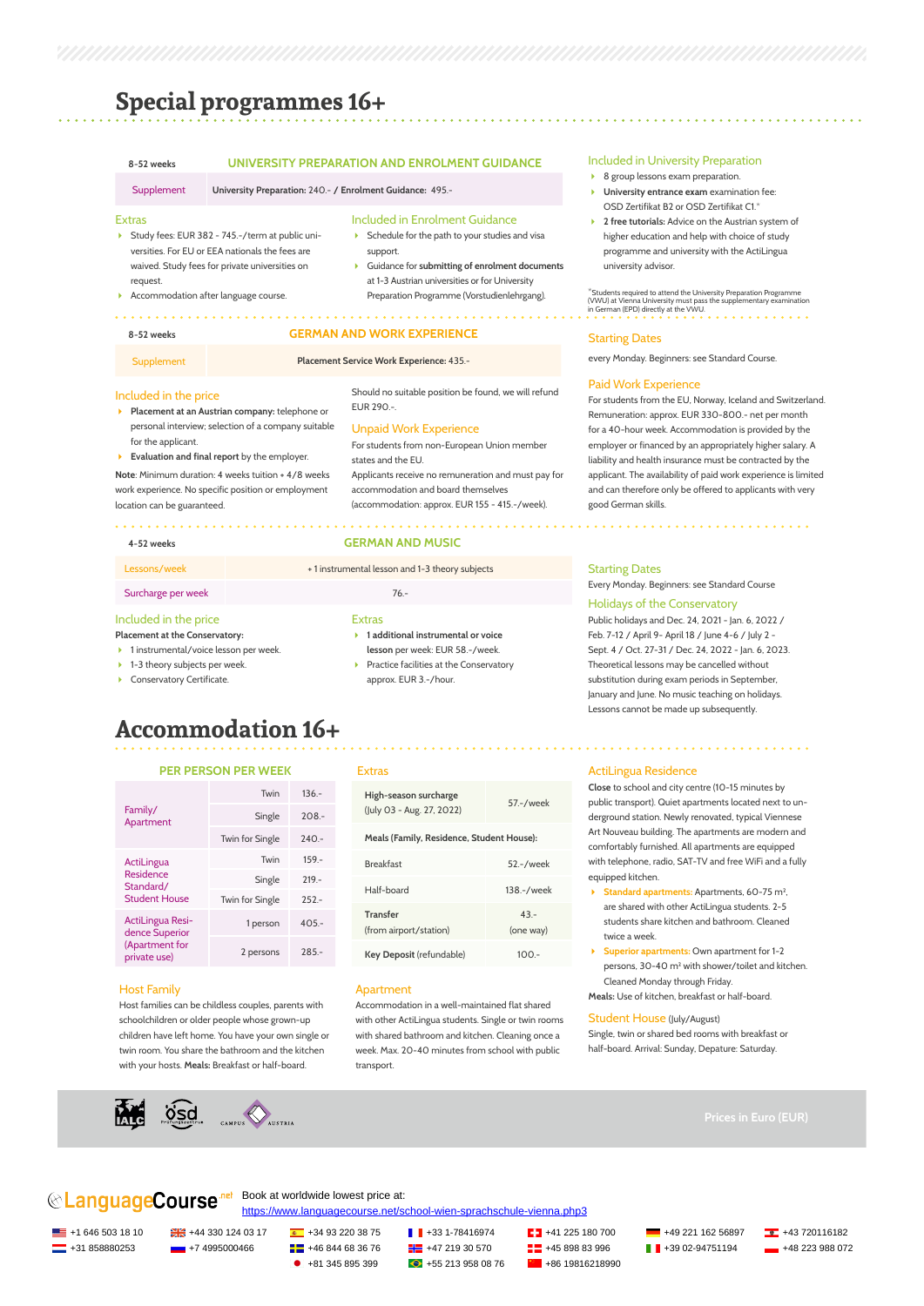### **Special programmes 16+**

#### **8-52 weeks UNIVERSITY PREPARATION AND ENROLMENT GUIDANCE**

Supplement **University Preparation:** 240.- **/ Enrolment Guidance:** 495.-

#### Extras

- Study fees: EUR 382 745.-/term at public universities. For EU or EEA nationals the fees are waived. Study fees for private universities on request.
- Accommodation after language course.

#### Included in Enrolment Guidance

- Schedule for the path to your studies and visa support.
- Guidance for **submitting of enrolment documents** at 1-3 Austrian universities or for University Preparation Programme (Vorstudienlehrgang).

Should no suitable position be found, we will refund

For students from non-European Union member

Applicants receive no remuneration and must pay for accommodation and board themselves (accommodation: approx. EUR 155 - 415.-/week).

#### **8-52 weeks GERMAN AND WORK EXPERIENCE**

#### Supplement **Placement Service Work Experience:** 435.-

 $FIR 290 -$ 

states and the EU.

Included in the price

- **Placement at an Austrian company:** telephone or personal interview; selection of a company suitable for the applicant.
- **Evaluation and final report** by the employer.

#### **Note**: Minimum duration: 4 weeks tuition + 4/8 weeks work experience. No specific position or employment location can be guaranteed.

#### . . . . . . . . . . . . . . .

#### **4-52 weeks GERMAN AND MUSIC**

Unpaid Work Experience

#### Lessons/week + 1 instrumental lesson and 1-3 theory subjects

#### Surcharge per week 76.-

### Included in the price

#### **Placement at the Conservatory:**

- ▶ 1 instrumental/voice lesson per week.
- ▶ 1-3 theory subjects per week.
- **Conservatory Certificate.**
- 
- **1 additional instrumental or voice lesson** per week: EUR 58.-/week.  $\blacktriangleright$  Practice facilities at the Conservatory

approx. EUR 3.-/hour.

#### Included in University Preparation

- ▶ 8 group lessons exam preparation.
- **University entrance exam** examination fee: OSD Zertifikat B2 or OSD Zertifikat C1.\*
- **2 free tutorials:** Advice on the Austrian system of higher education and help with choice of study programme and university with the ActiLingua university advisor.

\*Students required to attend the University Preparation Programme (VWU) at Vienna University must pass the supplementary examination in German (EPD) directly at the VWU.

#### Starting Dates

every Monday. Beginners: see Standard Course.

#### Paid Work Experience

For students from the EU, Norway, Iceland and Switzerland. Remuneration: approx. EUR 330-800.- net per month for a 40-hour week. Accommodation is provided by the employer or financed by an appropriately higher salary. A liability and health insurance must be contracted by the applicant. The availability of paid work experience is limited and can therefore only be offered to applicants with very good German skills.

#### Starting Dates

Every Monday. Beginners: see Standard Course

#### Holidays of the Conservatory

Public holidays and Dec. 24, 2021 - Jan. 6, 2022 / Feb. 7-12 / April 9- April 18 / June 4-6 / July 2 - Sept. 4 / Oct. 27-31 / Dec. 24, 2022 - Jan. 6, 2023. Theoretical lessons may be cancelled without substitution during exam periods in September, January and June. No music teaching on holidays. Lessons cannot be made up subsequently.

### **Accommodation 16+**

#### **PER PERSON PER WEEK**

|                                                | Twin            | $136 -$ |
|------------------------------------------------|-----------------|---------|
| Family/<br>Apartment                           | Single          | $208 -$ |
|                                                | Twin for Single | $240 -$ |
| ActiLingua                                     | Twin            | $159 -$ |
| Residence<br>Standard/<br><b>Student House</b> | Single          | $219 -$ |
|                                                | Twin for Single | $252 -$ |
| ActiLingua Resi-<br>dence Superior             | 1 person        | $405 -$ |
| (Apartment for<br>private use)                 | 2 persons       | $285 -$ |

#### Host Family

Host families can be childless couples, parents with schoolchildren or older people whose grown-up children have left home. You have your own single or twin room. You share the bathroom and the kitchen with your hosts. **Meals:** Breakfast or half-board.



#### Extras

Extras

| High-season surcharge<br>(July 03 - Aug. 27, 2022) | 57 - / week         |
|----------------------------------------------------|---------------------|
| Meals (Family, Residence, Student House):          |                     |
| <b>Breakfast</b>                                   | 52 .- / week        |
| Half-board                                         | 138 - / week        |
| <b>Transfer</b><br>(from airport/station)          | $43 -$<br>(one way) |
| Key Deposit (refundable)                           | 1ററ -               |

#### Apartment

Accommodation in a well-maintained flat shared with other ActiLingua students. Single or twin rooms with shared bathroom and kitchen. Cleaning once a week. Max. 20-40 minutes from school with public transport.

#### ActiLingua Residence

**Close** to school and city centre (10-15 minutes by public transport). Quiet apartments located next to underground station. Newly renovated, typical Viennese Art Nouveau building. The apartments are modern and comfortably furnished. All apartments are equipped with telephone, radio, SAT-TV and free WiFi and a fully equipped kitchen.

- **Standard apartments:** Apartments, 60-75 m², are shared with other ActiLingua students. 2-5 students share kitchen and bathroom. Cleaned twice a week.
- **Superior apartments:** Own apartment for 1-2 persons, 30-40 m² with shower/toilet and kitchen. Cleaned Monday through Friday. **Meals:** Use of kitchen, breakfast or half-board.

#### Student House (July/August)

Single, twin or shared bed rooms with breakfast or half-board. Arrival: Sunday, Depature: Saturday.



#### **CanguageCourse** Book at worldwide lowest price at: <https://www.languagecourse.net/school-wien-sprachschule-vienna.php3>

 $\blacksquare$  +1 646 503 18 10  $\blacksquare$   $\blacksquare$  +44 330 124 03 17  $\blacksquare$  +34 93 220 38 75  $\blacksquare$   $\blacksquare$  +33 1-78416974  $\blacksquare$  +41 225 180 700  $\blacksquare$  +49 221 162 56897  $\blacksquare$  +43 720116182

<u>-</u>+31 858880253 +7 4995000466 + +46 844 68 36 76 + +47 219 30 570 +45 898 83 996 + 39 02-94751194 + +48 223 988 072

 $\bullet$  +81 345 895 399  $\bullet$  +55 213 958 08 76  $\bullet$  +86 19816218990

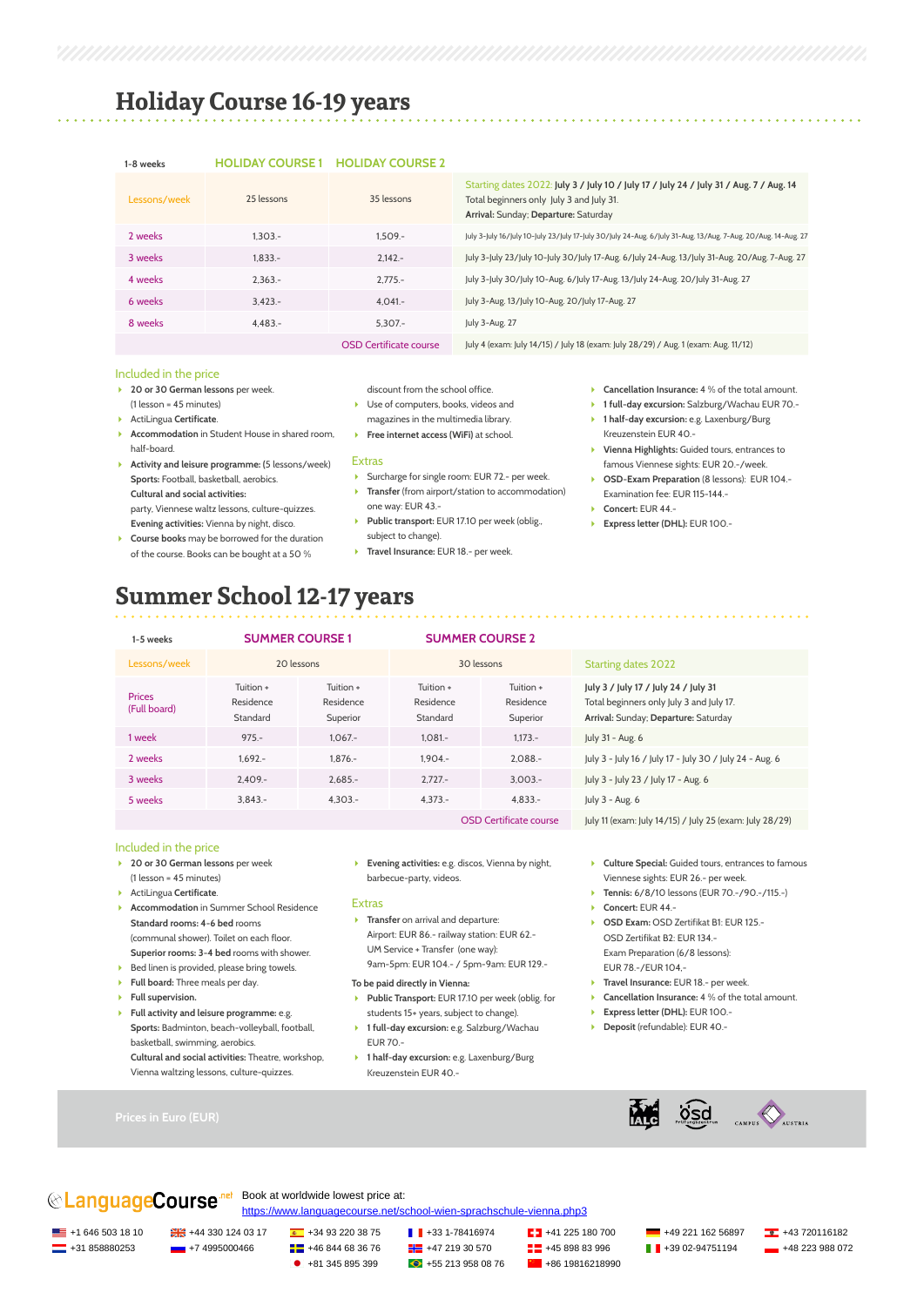## **Holiday Course 16-19 years**

#### **1-8 weeks HOLIDAY COURSE 1 HOLIDAY COURSE 2**

| Lessons/week | 25 lessons | 35 lessons                    | Starting dates 2022: July 3 / July 10 / July 17 / July 24 / July 31 / Aug. 7 / Aug. 14<br>Total beginners only July 3 and July 31.<br>Arrival: Sunday; Departure: Saturday |
|--------------|------------|-------------------------------|----------------------------------------------------------------------------------------------------------------------------------------------------------------------------|
| 2 weeks      | $1.303 -$  | $1.509 -$                     | July 3-July 16/July 10-July 23/July 17-July 30/July 24-Aug. 6/July 31-Aug. 13/Aug. 7-Aug. 20/Aug. 14-Aug. 27                                                               |
| 3 weeks      | $1.833 -$  | $2.142 -$                     | July 3-July 23/July 10-July 30/July 17-Aug. 6/July 24-Aug. 13/July 31-Aug. 20/Aug. 7-Aug. 27                                                                               |
| 4 weeks      | $2.363 -$  | $2.775 -$                     | July 3-July 30/July 10-Aug. 6/July 17-Aug. 13/July 24-Aug. 20/July 31-Aug. 27                                                                                              |
| 6 weeks      | $3.423 -$  | $4.041 -$                     | July 3-Aug. 13/July 10-Aug. 20/July 17-Aug. 27                                                                                                                             |
| 8 weeks      | $4.483 -$  | $5.307 -$                     | July 3-Aug. 27                                                                                                                                                             |
|              |            | <b>OSD Certificate course</b> | July 4 (exam: July 14/15) / July 18 (exam: July 28/29) / Aug. 1 (exam: Aug. 11/12)                                                                                         |

#### Included in the price

- **20 or 30 German lessons** per week. (1 lesson = 45 minutes)
- ActiLingua **Certificate**.
- **Accommodation** in Student House in shared room, half-board.
- **Activity and leisure programme: (**5 lessons/week) **Sports:** Football, basketball, aerobics. **Cultural and social activities:**  party, Viennese waltz lessons, culture-quizzes.
- **Evening activities:** Vienna by night, disco. **Course books** may be borrowed for the duration
- of the course. Books can be bought at a 50 %
- discount from the school office.
- ▶ Use of computers, books, videos and magazines in the multimedia library.
- **Free internet access (WiFi)** at school.

#### **Extras**

- Surcharge for single room: EUR 72.- per week.
- **Transfer** (from airport/station to accommodation) one way: EUR 43.-
- **Public transport:** EUR 17.10 per week (oblig., subject to change).
- **Travel Insurance:** EUR 18.- per week.
- **Cancellation Insurance:** 4 % of the total amount.
- **1 full-day excursion:** Salzburg/Wachau EUR 70.-
- **1 half-day excursion:** e.g. Laxenburg/Burg Kreuzenstein EUR 40.-
- **Vienna Highlights:** Guided tours, entrances to famous Viennese sights: EUR 20.-/week.
- **OSD-Exam Preparation** (8 lessons): EUR 104.- Examination fee: EUR 115-144.-
- **Concert:** EUR 44.-
- **Express letter (DHL):** EUR 100.-

## **Summer School 12-17 years**

| 1-5 weeks                     | <b>SUMMER COURSE 1</b>             |                                    | <b>SUMMER COURSE 2</b>             |                                    |                                                                                                                          |
|-------------------------------|------------------------------------|------------------------------------|------------------------------------|------------------------------------|--------------------------------------------------------------------------------------------------------------------------|
| Lessons/week                  | 20 lessons                         |                                    | 30 lessons                         |                                    | <b>Starting dates 2022</b>                                                                                               |
| <b>Prices</b><br>(Full board) | Tuition +<br>Residence<br>Standard | Tuition +<br>Residence<br>Superior | Tuition +<br>Residence<br>Standard | Tuition +<br>Residence<br>Superior | July 3 / July 17 / July 24 / July 31<br>Total beginners only July 3 and July 17.<br>Arrival: Sunday; Departure: Saturday |
| 1 week                        | $975 -$                            | $1.067 -$                          | $1.081 -$                          | $1.173 -$                          | July 31 - Aug. 6                                                                                                         |
| 2 weeks                       | $1.692 -$                          | $1.876 -$                          | $1.904 -$                          | $2.088 -$                          | July 3 - July 16 / July 17 - July 30 / July 24 - Aug. 6                                                                  |
| 3 weeks                       | $2.409 -$                          | $2.685 -$                          | $2.727 -$                          | $3.003 -$                          | July 3 - July 23 / July 17 - Aug. 6                                                                                      |
| 5 weeks                       | $3.843 -$                          | $4.303 -$                          | $4.373 -$                          | $4.833 -$                          | July 3 - Aug. 6                                                                                                          |
|                               |                                    |                                    |                                    | <b>OSD Certificate course</b>      | July 11 (exam: July 14/15) / July 25 (exam: July 28/29)                                                                  |

### Included in the price

- **20 or 30 German lessons** per week (1 lesson = 45 minutes)
- ActiLingua **Certificate**.
- **Accommodation** in Summer School Residence **Standard rooms: 4-6 bed** rooms (communal shower). Toilet on each floor. **Superior rooms: 3-4 bed** rooms with shower.
- Bed linen is provided, please bring towels.
- **Full board:** Three meals per day.
- **Full supervision.**
- **Full activity and leisure programme:** e.g. **Sports:** Badminton, beach-volleyball, football, basketball, swimming, aerobics. **Cultural and social activities:** Theatre, workshop, Vienna waltzing lessons, culture-quizzes.
- **Evening activities:** e.g. discos, Vienna by night, barbecue-party, videos.

#### Extras

**Transfer** on arrival and departure: Airport: EUR 86.- railway station: EUR 62.- UM Service + Transfer (one way): 9am-5pm: EUR 104.- / 5pm-9am: EUR 129.-

#### **To be paid directly in Vienna:**

- **Public Transport:** EUR 17.10 per week (oblig. for students 15+ years, subject to change).
- **1 full-day excursion:** e.g. Salzburg/Wachau EUR 70.-
- **1 half-day excursion:** e.g. Laxenburg/Burg Kreuzenstein EUR 40.-
- **Culture Special:** Guided tours, entrances to famous Viennese sights: EUR 26.- per week.
- 
- 
- OSD Zertifikat B2: EUR 134.- Exam Preparation (6/8 lessons): EUR 78.-/EUR 104,-
- 
- 
- 
- 

### **CAnguageCourse** Book at worldwide lowest price at: <https://www.languagecourse.net/school-wien-sprachschule-vienna.php3>

<u>ES</u> +1 646 503 18 10 <del>D</del> +43 330 124 03 17 **4** +34 93 220 38 75 **+45** +33 1-78416974 **+45 221 182 5180 700 +49 221 162 56897 <b>+43** 720116182 <u><del></del></u> +31 858880253 +7 4995000466 + 46 844 68 36 76 +47 219 30 570 + 45 898 83 996 + 39 02-94751194 +48 223 988 072

 $\bullet$  +81 345 895 399  $\bullet$  +55 213 958 08 76  $\bullet$  +86 19816218990

- **Tennis:** 6/8/10 lessons (EUR 70.-/90.-/115.-) **Concert:** EUR 44.-
- **DSD Exam: OSD Zertifikat B1: EUR 125.-**
- **Travel Insurance: EUR 18.- per week.**
- **Cancellation Insurance:** 4 % of the total amount.
- **Express letter (DHL):** EUR 100.-
- **Deposit** (refundable): EUR 40.-

**DSC** CAMPUS AUSTRIA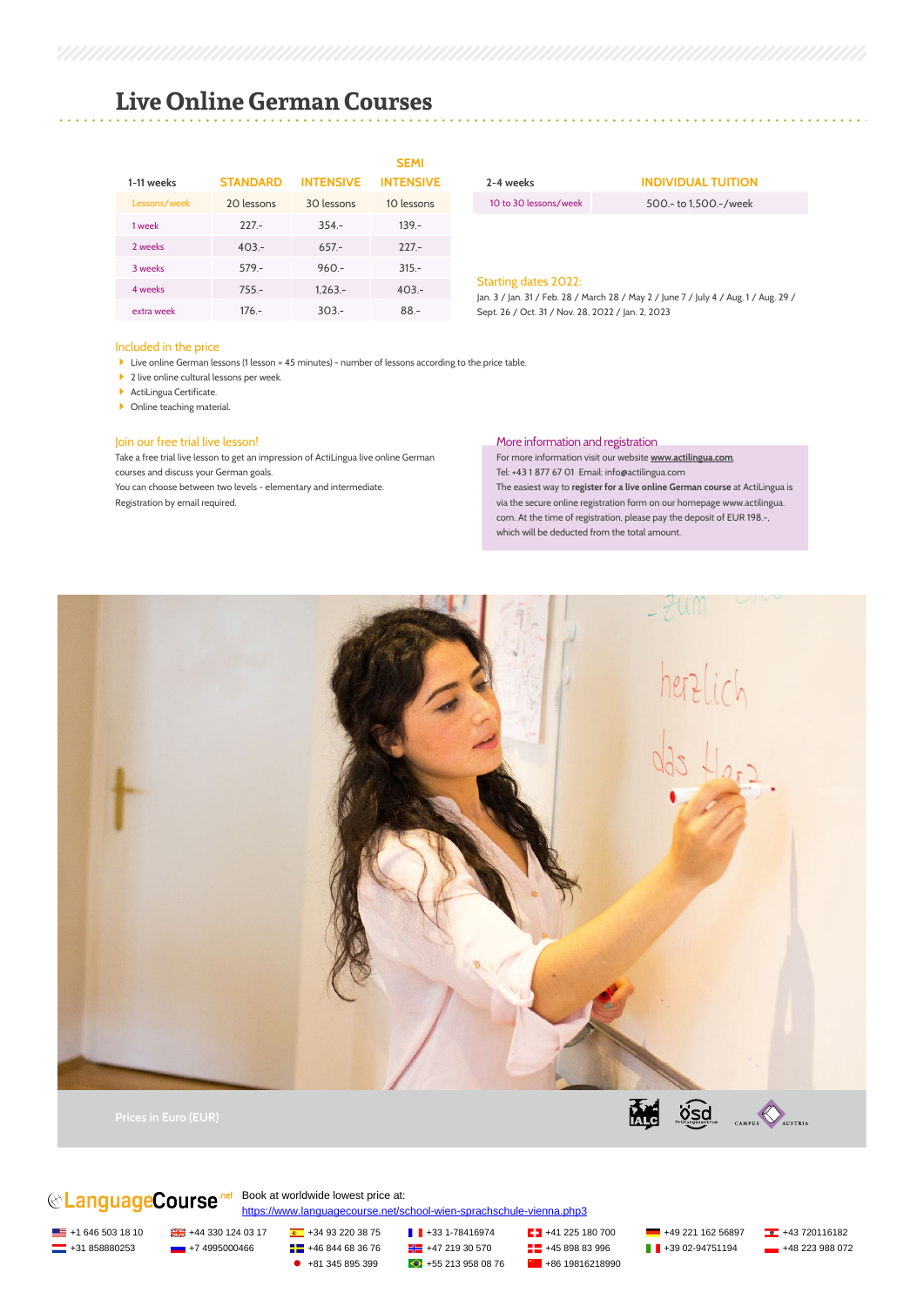### **Live Online German Courses**

|              |                 |                  | <b>SEMI</b>      |
|--------------|-----------------|------------------|------------------|
| 1-11 weeks   | <b>STANDARD</b> | <b>INTENSIVE</b> | <b>INTENSIVE</b> |
| Lessons/week | 20 lessons      | 30 lessons       | 10 lessons       |
| 1 week       | $227 -$         | $354 -$          | $139 -$          |
| 2 weeks      | $403 -$         | $657 -$          | $227 -$          |
| 3 weeks      | $579 -$         | $960 -$          | $315 -$          |
| 4 weeks      | $755 -$         | $1.263 -$        | $403 -$          |
| extra week   | $176 -$         | $303 -$          | $88 -$           |

#### Included in the price

Live online German lessons (1 lesson = 45 minutes) - number of lessons according to the price table.

- ▶ 2 live online cultural lessons per week.
- **ActiLingua Certificate**
- **D** Online teaching material.

#### Join our free trial live lesson!

Take a free trial live lesson to get an impression of ActiLingua live online German courses and discuss your German goals. You can choose between two levels - elementary and intermediate. Registration by email required.

More information and registration For more information visit our website **www.actilingua.com**. Tel: +43 1 877 67 01 Email: info@actilingua.com The easiest way to **register for a live online German course** at ActiLingua is via the secure online registration form on our homepage www.actilingua. com. At the time of registration, please pay the deposit of EUR 198.-, which will be deducted from the total amount.



# **CAnguageCourse**<sup>net</sup> Book at worldwide lowest price at:

<https://www.languagecourse.net/school-wien-sprachschule-vienna.php3>

+1 646 503 18 10 +44 330 124 03 17 +34 93 220 38 75 +33 1-78416974 +41 225 180 700 +49 221 162 56897 +43 720116182 <u><del></u> +</del>31 858880253 +67 4995000466 + +46 844 68 36 76 + +47 219 30 570 + +45 898 83 996 + +39 02-94751194 + +48 223 988 072</u>

 $\bullet$  +81 345 895 399  $\bullet$  +55 213 958 08 76  $\bullet$  +86 19816218990

**2-4 weeks INDIVIDUAL TUITION** 10 to 30 lessons/week 500.- to 1,500.-/week

. . . . . . . . . . . . . . . .

#### Starting dates 2022:

Jan. 3 / Jan. 31 / Feb. 28 / March 28 / May 2 / June 7 / July 4 / Aug. 1 / Aug. 29 / Sept. 26 / Oct. 31 / Nov. 28, 2022 / Jan. 2, 2023